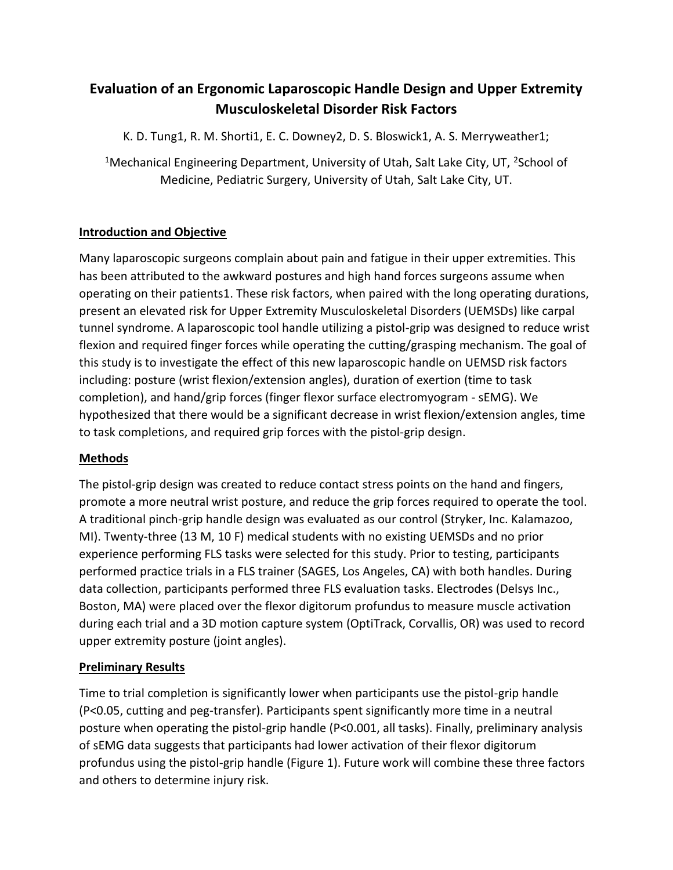# **Evaluation of an Ergonomic Laparoscopic Handle Design and Upper Extremity Musculoskeletal Disorder Risk Factors**

K. D. Tung1, R. M. Shorti1, E. C. Downey2, D. S. Bloswick1, A. S. Merryweather1;

<sup>1</sup>Mechanical Engineering Department, University of Utah, Salt Lake City, UT, <sup>2</sup>School of Medicine, Pediatric Surgery, University of Utah, Salt Lake City, UT.

### **Introduction and Objective**

Many laparoscopic surgeons complain about pain and fatigue in their upper extremities. This has been attributed to the awkward postures and high hand forces surgeons assume when operating on their patients1. These risk factors, when paired with the long operating durations, present an elevated risk for Upper Extremity Musculoskeletal Disorders (UEMSDs) like carpal tunnel syndrome. A laparoscopic tool handle utilizing a pistol-grip was designed to reduce wrist flexion and required finger forces while operating the cutting/grasping mechanism. The goal of this study is to investigate the effect of this new laparoscopic handle on UEMSD risk factors including: posture (wrist flexion/extension angles), duration of exertion (time to task completion), and hand/grip forces (finger flexor surface electromyogram - sEMG). We hypothesized that there would be a significant decrease in wrist flexion/extension angles, time to task completions, and required grip forces with the pistol-grip design.

### **Methods**

The pistol-grip design was created to reduce contact stress points on the hand and fingers, promote a more neutral wrist posture, and reduce the grip forces required to operate the tool. A traditional pinch-grip handle design was evaluated as our control (Stryker, Inc. Kalamazoo, MI). Twenty-three (13 M, 10 F) medical students with no existing UEMSDs and no prior experience performing FLS tasks were selected for this study. Prior to testing, participants performed practice trials in a FLS trainer (SAGES, Los Angeles, CA) with both handles. During data collection, participants performed three FLS evaluation tasks. Electrodes (Delsys Inc., Boston, MA) were placed over the flexor digitorum profundus to measure muscle activation during each trial and a 3D motion capture system (OptiTrack, Corvallis, OR) was used to record upper extremity posture (joint angles).

## **Preliminary Results**

Time to trial completion is significantly lower when participants use the pistol-grip handle (P<0.05, cutting and peg-transfer). Participants spent significantly more time in a neutral posture when operating the pistol-grip handle (P<0.001, all tasks). Finally, preliminary analysis of sEMG data suggests that participants had lower activation of their flexor digitorum profundus using the pistol-grip handle (Figure 1). Future work will combine these three factors and others to determine injury risk.